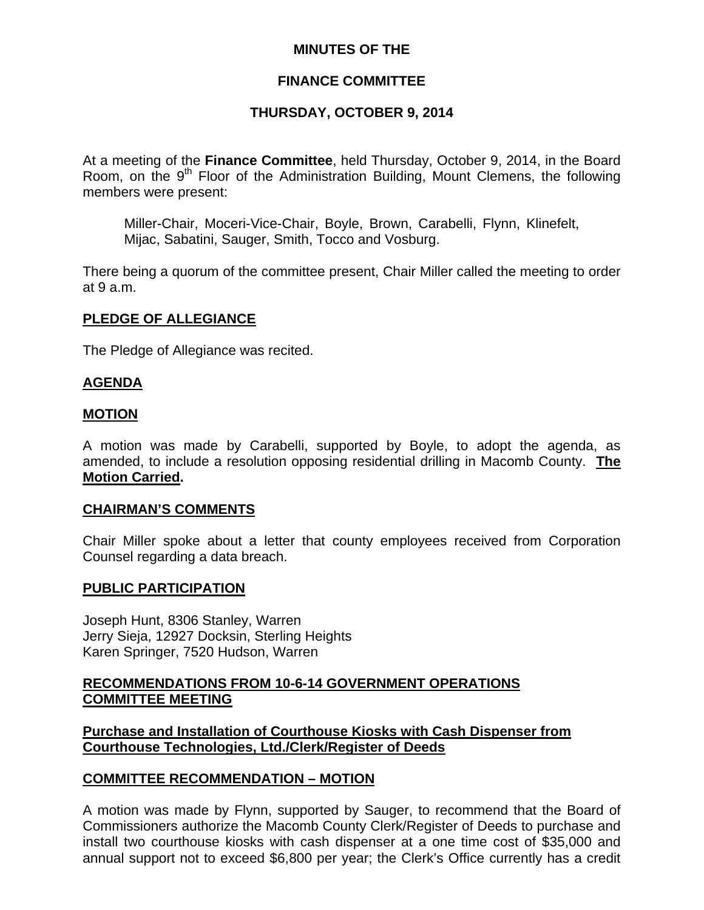## **MINUTES OF THE**

# **FINANCE COMMITTEE**

# **THURSDAY, OCTOBER 9, 2014**

At a meeting of the **Finance Committee**, held Thursday, October 9, 2014, in the Board Room, on the  $9<sup>th</sup>$  Floor of the Administration Building, Mount Clemens, the following members were present:

Miller-Chair, Moceri-Vice-Chair, Boyle, Brown, Carabelli, Flynn, Klinefelt, Mijac, Sabatini, Sauger, Smith, Tocco and Vosburg.

There being a quorum of the committee present, Chair Miller called the meeting to order at 9 a.m.

## **PLEDGE OF ALLEGIANCE**

The Pledge of Allegiance was recited.

## **AGENDA**

### **MOTION**

A motion was made by Carabelli, supported by Boyle, to adopt the agenda, as amended, to include a resolution opposing residential drilling in Macomb County. **The Motion Carried.** 

### **CHAIRMAN'S COMMENTS**

Chair Miller spoke about a letter that county employees received from Corporation Counsel regarding a data breach.

### **PUBLIC PARTICIPATION**

Joseph Hunt, 8306 Stanley, Warren Jerry Sieja, 12927 Docksin, Sterling Heights Karen Springer, 7520 Hudson, Warren

## **RECOMMENDATIONS FROM 10-6-14 GOVERNMENT OPERATIONS COMMITTEE MEETING**

**Purchase and Installation of Courthouse Kiosks with Cash Dispenser from Courthouse Technologies, Ltd./Clerk/Register of Deeds**

### **COMMITTEE RECOMMENDATION – MOTION**

A motion was made by Flynn, supported by Sauger, to recommend that the Board of Commissioners authorize the Macomb County Clerk/Register of Deeds to purchase and install two courthouse kiosks with cash dispenser at a one time cost of \$35,000 and annual support not to exceed \$6,800 per year; the Clerk's Office currently has a credit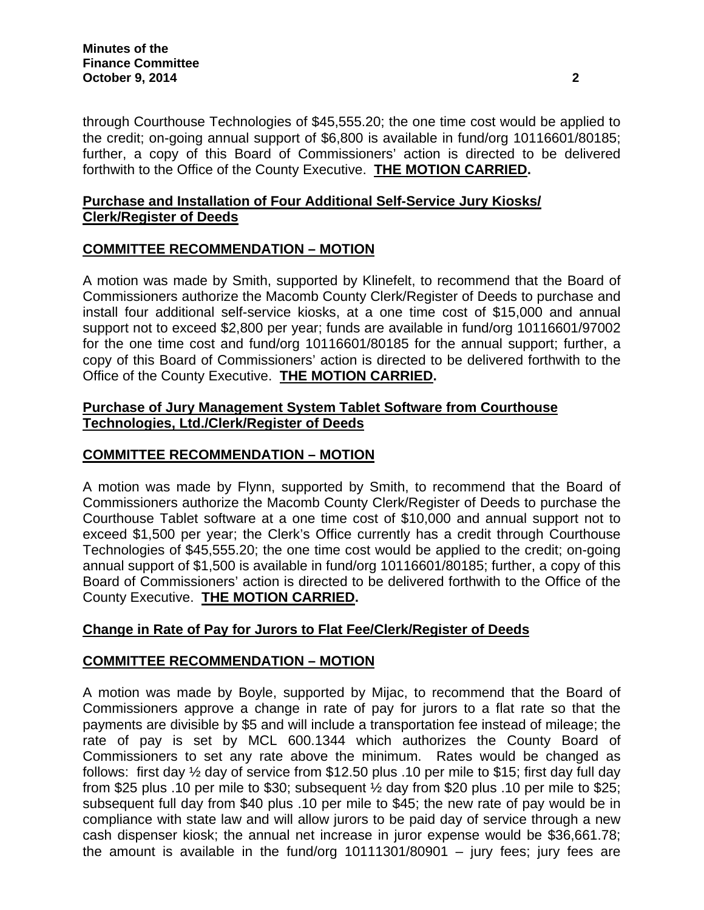through Courthouse Technologies of \$45,555.20; the one time cost would be applied to the credit; on-going annual support of \$6,800 is available in fund/org 10116601/80185; further, a copy of this Board of Commissioners' action is directed to be delivered forthwith to the Office of the County Executive. **THE MOTION CARRIED.** 

# **Purchase and Installation of Four Additional Self-Service Jury Kiosks/ Clerk/Register of Deeds**

# **COMMITTEE RECOMMENDATION – MOTION**

A motion was made by Smith, supported by Klinefelt, to recommend that the Board of Commissioners authorize the Macomb County Clerk/Register of Deeds to purchase and install four additional self-service kiosks, at a one time cost of \$15,000 and annual support not to exceed \$2,800 per year; funds are available in fund/org 10116601/97002 for the one time cost and fund/org 10116601/80185 for the annual support; further, a copy of this Board of Commissioners' action is directed to be delivered forthwith to the Office of the County Executive. **THE MOTION CARRIED.** 

# **Purchase of Jury Management System Tablet Software from Courthouse Technologies, Ltd./Clerk/Register of Deeds**

# **COMMITTEE RECOMMENDATION – MOTION**

A motion was made by Flynn, supported by Smith, to recommend that the Board of Commissioners authorize the Macomb County Clerk/Register of Deeds to purchase the Courthouse Tablet software at a one time cost of \$10,000 and annual support not to exceed \$1,500 per year; the Clerk's Office currently has a credit through Courthouse Technologies of \$45,555.20; the one time cost would be applied to the credit; on-going annual support of \$1,500 is available in fund/org 10116601/80185; further, a copy of this Board of Commissioners' action is directed to be delivered forthwith to the Office of the County Executive. **THE MOTION CARRIED.** 

# **Change in Rate of Pay for Jurors to Flat Fee/Clerk/Register of Deeds**

# **COMMITTEE RECOMMENDATION – MOTION**

A motion was made by Boyle, supported by Mijac, to recommend that the Board of Commissioners approve a change in rate of pay for jurors to a flat rate so that the payments are divisible by \$5 and will include a transportation fee instead of mileage; the rate of pay is set by MCL 600.1344 which authorizes the County Board of Commissioners to set any rate above the minimum. Rates would be changed as follows: first day ½ day of service from \$12.50 plus .10 per mile to \$15; first day full day from \$25 plus .10 per mile to \$30; subsequent ½ day from \$20 plus .10 per mile to \$25; subsequent full day from \$40 plus .10 per mile to \$45; the new rate of pay would be in compliance with state law and will allow jurors to be paid day of service through a new cash dispenser kiosk; the annual net increase in juror expense would be \$36,661.78; the amount is available in the fund/org 10111301/80901 – jury fees; jury fees are